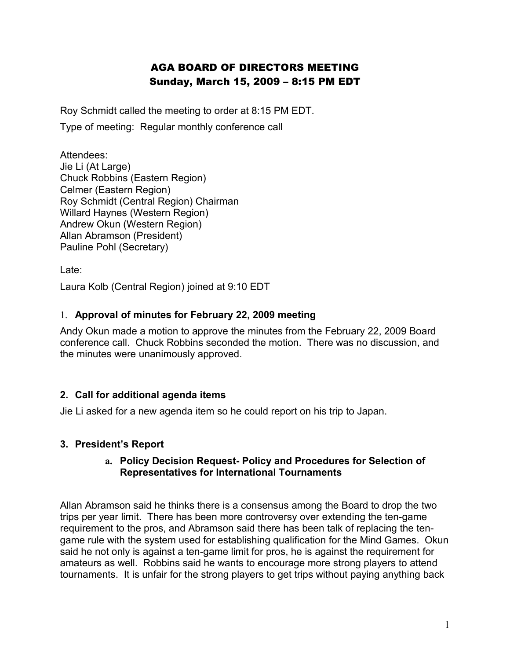# AGA BOARD OF DIRECTORS MEETING Sunday, March 15, 2009 – 8:15 PM EDT

Roy Schmidt called the meeting to order at 8:15 PM EDT.

Type of meeting: Regular monthly conference call

Attendees: Jie Li (At Large) Chuck Robbins (Eastern Region) Celmer (Eastern Region) Roy Schmidt (Central Region) Chairman Willard Haynes (Western Region) Andrew Okun (Western Region) Allan Abramson (President) Pauline Pohl (Secretary)

Late:

Laura Kolb (Central Region) joined at 9:10 EDT

## 1. **Approval of minutes for February 22, 2009 meeting**

Andy Okun made a motion to approve the minutes from the February 22, 2009 Board conference call. Chuck Robbins seconded the motion. There was no discussion, and the minutes were unanimously approved.

## **2. Call for additional agenda items**

Jie Li asked for a new agenda item so he could report on his trip to Japan.

## **3. President's Report**

#### **a. Policy Decision Request- Policy and Procedures for Selection of Representatives for International Tournaments**

Allan Abramson said he thinks there is a consensus among the Board to drop the two trips per year limit. There has been more controversy over extending the ten-game requirement to the pros, and Abramson said there has been talk of replacing the tengame rule with the system used for establishing qualification for the Mind Games. Okun said he not only is against a ten-game limit for pros, he is against the requirement for amateurs as well. Robbins said he wants to encourage more strong players to attend tournaments. It is unfair for the strong players to get trips without paying anything back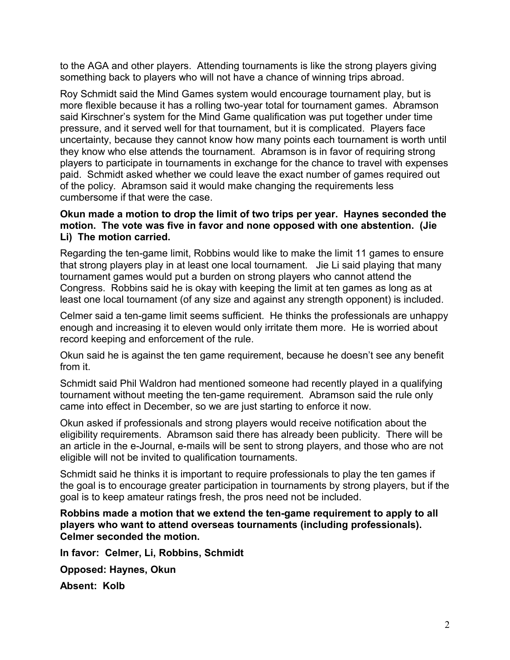to the AGA and other players. Attending tournaments is like the strong players giving something back to players who will not have a chance of winning trips abroad.

Roy Schmidt said the Mind Games system would encourage tournament play, but is more flexible because it has a rolling two-year total for tournament games. Abramson said Kirschner's system for the Mind Game qualification was put together under time pressure, and it served well for that tournament, but it is complicated. Players face uncertainty, because they cannot know how many points each tournament is worth until they know who else attends the tournament. Abramson is in favor of requiring strong players to participate in tournaments in exchange for the chance to travel with expenses paid. Schmidt asked whether we could leave the exact number of games required out of the policy. Abramson said it would make changing the requirements less cumbersome if that were the case.

#### **Okun made a motion to drop the limit of two trips per year. Haynes seconded the motion. The vote was five in favor and none opposed with one abstention. (Jie Li) The motion carried.**

Regarding the ten-game limit, Robbins would like to make the limit 11 games to ensure that strong players play in at least one local tournament. Jie Li said playing that many tournament games would put a burden on strong players who cannot attend the Congress. Robbins said he is okay with keeping the limit at ten games as long as at least one local tournament (of any size and against any strength opponent) is included.

Celmer said a ten-game limit seems sufficient. He thinks the professionals are unhappy enough and increasing it to eleven would only irritate them more. He is worried about record keeping and enforcement of the rule.

Okun said he is against the ten game requirement, because he doesn't see any benefit from it.

Schmidt said Phil Waldron had mentioned someone had recently played in a qualifying tournament without meeting the ten-game requirement. Abramson said the rule only came into effect in December, so we are just starting to enforce it now.

Okun asked if professionals and strong players would receive notification about the eligibility requirements. Abramson said there has already been publicity. There will be an article in the e-Journal, e-mails will be sent to strong players, and those who are not eligible will not be invited to qualification tournaments.

Schmidt said he thinks it is important to require professionals to play the ten games if the goal is to encourage greater participation in tournaments by strong players, but if the goal is to keep amateur ratings fresh, the pros need not be included.

**Robbins made a motion that we extend the ten-game requirement to apply to all players who want to attend overseas tournaments (including professionals). Celmer seconded the motion.** 

**In favor: Celmer, Li, Robbins, Schmidt**

**Opposed: Haynes, Okun**

**Absent: Kolb**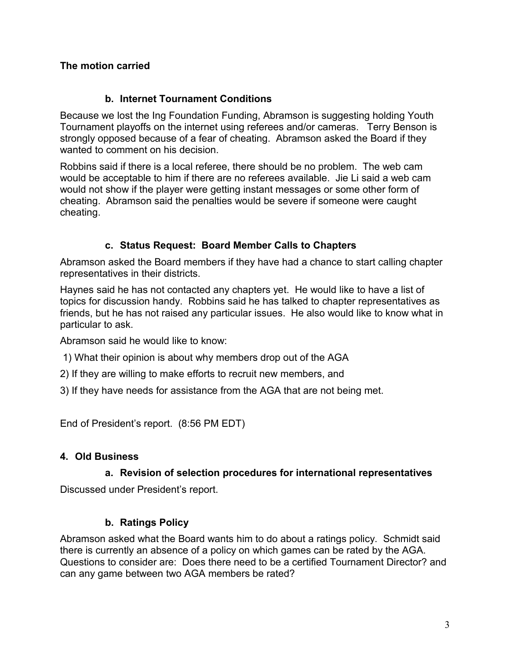## **The motion carried**

#### **b. Internet Tournament Conditions**

Because we lost the Ing Foundation Funding, Abramson is suggesting holding Youth Tournament playoffs on the internet using referees and/or cameras. Terry Benson is strongly opposed because of a fear of cheating. Abramson asked the Board if they wanted to comment on his decision.

Robbins said if there is a local referee, there should be no problem. The web cam would be acceptable to him if there are no referees available. Jie Li said a web cam would not show if the player were getting instant messages or some other form of cheating. Abramson said the penalties would be severe if someone were caught cheating.

#### **c. Status Request: Board Member Calls to Chapters**

Abramson asked the Board members if they have had a chance to start calling chapter representatives in their districts.

Haynes said he has not contacted any chapters yet. He would like to have a list of topics for discussion handy. Robbins said he has talked to chapter representatives as friends, but he has not raised any particular issues. He also would like to know what in particular to ask.

Abramson said he would like to know:

- 1) What their opinion is about why members drop out of the AGA
- 2) If they are willing to make efforts to recruit new members, and
- 3) If they have needs for assistance from the AGA that are not being met.

End of President's report. (8:56 PM EDT)

#### **4. Old Business**

#### **a. Revision of selection procedures for international representatives**

Discussed under President's report.

## **b. Ratings Policy**

Abramson asked what the Board wants him to do about a ratings policy. Schmidt said there is currently an absence of a policy on which games can be rated by the AGA. Questions to consider are: Does there need to be a certified Tournament Director? and can any game between two AGA members be rated?